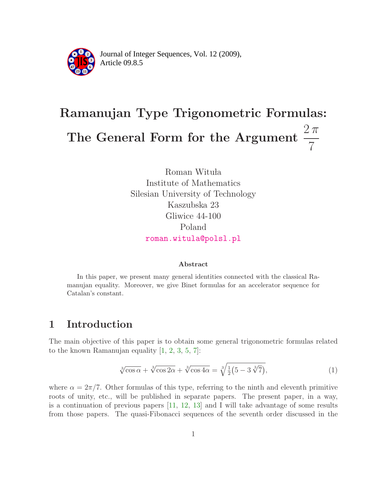

Article 09.8.5 **<sup>2</sup>** Journal of Integer Sequences, Vol. 12 (2009),

# Ramanujan Type Trigonometric Formulas: The General Form for the Argument  $\frac{2\pi}{7}$ 7

Roman Wituła Institute of Mathematics Silesian University of Technology Kaszubska 23 Gliwice 44-100 Poland [roman.witula@polsl.pl](mailto:roman.witula@polsl.pl)

#### Abstract

In this paper, we present many general identities connected with the classical Ramanujan equality. Moreover, we give Binet formulas for an accelerator sequence for Catalan's constant.

## 1 Introduction

<span id="page-0-0"></span>The main objective of this paper is to obtain some general trigonometric formulas related to the known Ramanujan equality [\[1,](#page-21-0) [2,](#page-21-1) [3,](#page-21-2) [5,](#page-22-0) [7\]](#page-22-1):

$$
\sqrt[3]{\cos\alpha} + \sqrt[3]{\cos 2\alpha} + \sqrt[3]{\cos 4\alpha} = \sqrt[3]{\frac{1}{2}(5 - 3\sqrt[3]{7})},\tag{1}
$$

where  $\alpha = 2\pi/7$ . Other formulas of this type, referring to the ninth and eleventh primitive roots of unity, etc., will be published in separate papers. The present paper, in a way, is a continuation of previous papers [\[11,](#page-22-2) [12,](#page-22-3) [13\]](#page-22-4) and I will take advantage of some results from those papers. The quasi-Fibonacci sequences of the seventh order discussed in the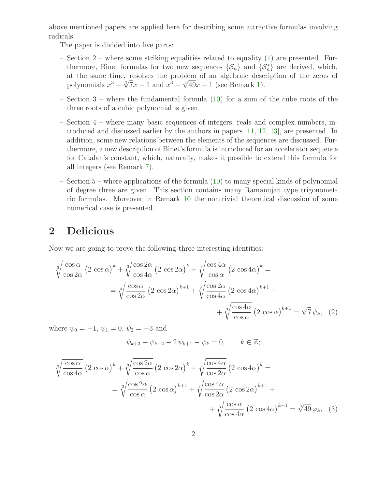above mentioned papers are applied here for describing some attractive formulas involving radicals.

The paper is divided into five parts:

- Section 2 where some striking equalities related to equality [\(1\)](#page-0-0) are presented. Furthermore, Binet formulas for two new sequences  $\{\mathcal{S}_n\}$  and  $\{\mathcal{S}_n^*\}$  are derived, which, at the same time, resolves the problem of an algebraic description of the zeros of polynomials  $x^3 - \sqrt[3]{7}x - 1$  and  $x^3 - \sqrt[3]{49}x - 1$  (see Remark [1\)](#page-3-0).
- Section 3 where the fundamental formula [\(10\)](#page-6-0) for a sum of the cube roots of the three roots of a cubic polynomial is given.
- Section 4 where many basic sequences of integers, reals and complex numbers, introduced and discussed earlier by the authors in papers [\[11,](#page-22-2) [12,](#page-22-3) [13\]](#page-22-4), are presented. In addition, some new relations between the elements of the sequences are discussed. Furthermore, a new description of Binet's formula is introduced for an accelerator sequence for Catalan's constant, which, naturally, makes it possible to extend this formula for all integers (see Remark [7\)](#page-10-0).
- Section 5 where applications of the formula [\(10\)](#page-6-0) to many special kinds of polynomial of degree three are given. This section contains many Ramanujan type trigonometric formulas. Moreover in Remark [10](#page-17-0) the nontrivial theoretical discussion of some numerical case is presented.

## 2 Delicious

Now we are going to prove the following three interesting identities:

$$
\sqrt[3]{\frac{\cos \alpha}{\cos 2\alpha}} \left(2 \cos \alpha\right)^k + \sqrt[3]{\frac{\cos 2\alpha}{\cos 4\alpha}} \left(2 \cos 2\alpha\right)^k + \sqrt[3]{\frac{\cos 4\alpha}{\cos \alpha}} \left(2 \cos 4\alpha\right)^k =
$$
\n
$$
= \sqrt[3]{\frac{\cos \alpha}{\cos 2\alpha}} \left(2 \cos 2\alpha\right)^{k+1} + \sqrt[3]{\frac{\cos 2\alpha}{\cos 4\alpha}} \left(2 \cos 4\alpha\right)^{k+1} + \sqrt[3]{\frac{\cos 4\alpha}{\cos \alpha}} \left(2 \cos \alpha\right)^{k+1} + \sqrt[3]{\frac{\cos 4\alpha}{\cos \alpha}} \left(2 \cos \alpha\right)^{k+1} = \sqrt[3]{7} \psi_k, \quad (2)
$$

where  $\psi_0 = -1, \psi_1 = 0, \psi_2 = -3$  and

<span id="page-1-1"></span><span id="page-1-0"></span>
$$
\psi_{k+3} + \psi_{k+2} - 2\psi_{k+1} - \psi_k = 0, \qquad k \in \mathbb{Z};
$$

$$
\sqrt[3]{\frac{\cos \alpha}{\cos 4\alpha}} \left(2 \cos \alpha\right)^k + \sqrt[3]{\frac{\cos 2\alpha}{\cos \alpha}} \left(2 \cos 2\alpha\right)^k + \sqrt[3]{\frac{\cos 4\alpha}{\cos 2\alpha}} \left(2 \cos 4\alpha\right)^k =
$$
\n
$$
= \sqrt[3]{\frac{\cos 2\alpha}{\cos \alpha}} \left(2 \cos \alpha\right)^{k+1} + \sqrt[3]{\frac{\cos 4\alpha}{\cos 2\alpha}} \left(2 \cos 2\alpha\right)^{k+1} + \sqrt[3]{\frac{\cos \alpha}{\cos 4\alpha}} \left(2 \cos 4\alpha\right)^{k+1} + \sqrt[3]{\frac{\cos \alpha}{\cos 4\alpha}} \left(2 \cos 4\alpha\right)^{k+1} = \sqrt[3]{49} \varphi_k, \quad (3)
$$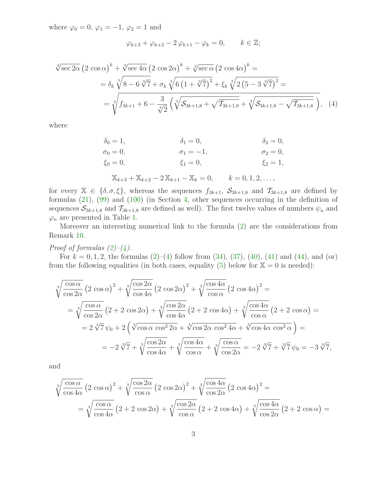where  $\varphi_0 = 0$ ,  $\varphi_1 = -1$ ,  $\varphi_2 = 1$  and

<span id="page-2-0"></span>
$$
\varphi_{k+3} + \varphi_{k+2} - 2\varphi_{k+1} - \varphi_k = 0, \qquad k \in \mathbb{Z};
$$

$$
\sqrt[3]{\sec 2\alpha} \left(2 \cos \alpha\right)^k + \sqrt[3]{\sec 4\alpha} \left(2 \cos 2\alpha\right)^k + \sqrt[3]{\sec \alpha} \left(2 \cos 4\alpha\right)^k =
$$
\n
$$
= \delta_k \sqrt[3]{8 - 6 \sqrt[3]{7} + \sigma_k \sqrt[3]{6 \left(1 + \sqrt[3]{7}\right)^2} + \xi_k \sqrt[3]{2 \left(5 - 3 \sqrt[3]{7}\right)^2}} =
$$
\n
$$
= \sqrt[3]{f_{3k+1} + 6 - \frac{3}{\sqrt[3]{2}} \left(\sqrt[3]{S_{3k+1,8} + \sqrt{T_{3k+1,8}}} + \sqrt[3]{S_{3k+1,8} - \sqrt{T_{3k+1,8}}}\right)}, \quad (4)
$$

where

$$
\delta_0 = 1, \qquad \delta_1 = 0, \qquad \delta_2 = 0, \n\sigma_0 = 0, \qquad \sigma_1 = -1, \qquad \sigma_2 = 0, \n\xi_0 = 0, \qquad \xi_1 = 0, \qquad \xi_2 = 1, \n\chi_{k+3} + \chi_{k+2} - 2\chi_{k+1} - \chi_k = 0, \qquad k = 0, 1, 2, ...,
$$

for every  $\mathbb{X} \in \{\delta, \sigma, \xi\}$ , whereas the sequences  $f_{3k+1}, S_{3k+1,8}$  and  $\mathcal{T}_{3k+1,8}$  are defined by formulas [\(21\)](#page-8-0), [\(99\)](#page-17-1) and [\(100\)](#page-17-2) (in Section [4,](#page-7-0) other sequences occurring in the definition of sequences  $S_{3k+1,8}$  and  $T_{3k+1,8}$  are defined as well). The first twelve values of numbers  $\psi_n$  and  $\varphi_n$  are presented in Table [1.](#page-21-3)

Moreover an interesting numerical link to the formula [\(2\)](#page-1-0) are the considerations from Remark [10.](#page-17-0)

Proof of formulas  $(2)-(4)$  $(2)-(4)$ .

For  $k = 0, 1, 2$ , the formulas  $(2)$ – $(4)$  follow from  $(34)$ ,  $(37)$ ,  $(40)$ ,  $(41)$  and  $(44)$ , and  $(0r)$ from the following equalities (in both cases, equality [\(5\)](#page-3-1) below for  $X = 0$  is needed):

$$
\sqrt[3]{\frac{\cos \alpha}{\cos 2\alpha}} (2 \cos \alpha)^2 + \sqrt[3]{\frac{\cos 2\alpha}{\cos 4\alpha}} (2 \cos 2\alpha)^2 + \sqrt[3]{\frac{\cos 4\alpha}{\cos \alpha}} (2 \cos 4\alpha)^2 =
$$
\n
$$
= \sqrt[3]{\frac{\cos \alpha}{\cos 2\alpha}} (2 + 2 \cos 2\alpha) + \sqrt[3]{\frac{\cos 2\alpha}{\cos 4\alpha}} (2 + 2 \cos 4\alpha) + \sqrt[3]{\frac{\cos 4\alpha}{\cos \alpha}} (2 + 2 \cos \alpha) =
$$
\n
$$
= 2\sqrt[3]{7} \psi_0 + 2 \left( \sqrt[3]{\cos \alpha \cos^2 2\alpha} + \sqrt[3]{\cos 2\alpha \cos^2 4\alpha} + \sqrt[3]{\cos 4\alpha \cos^2 \alpha} \right) =
$$
\n
$$
= -2\sqrt[3]{7} + \sqrt[3]{\frac{\cos 2\alpha}{\cos 4\alpha}} + \sqrt[3]{\frac{\cos 4\alpha}{\cos \alpha}} + \sqrt[3]{\frac{\cos \alpha}{\cos 2\alpha}} = -2\sqrt[3]{7} + \sqrt[3]{7} \psi_0 = -3\sqrt[3]{7},
$$

and

$$
\sqrt[3]{\frac{\cos \alpha}{\cos 4\alpha}} (2 \cos \alpha)^2 + \sqrt[3]{\frac{\cos 2\alpha}{\cos \alpha}} (2 \cos 2\alpha)^2 + \sqrt[3]{\frac{\cos 4\alpha}{\cos 2\alpha}} (2 \cos 4\alpha)^2 =
$$
\n
$$
= \sqrt[3]{\frac{\cos \alpha}{\cos 4\alpha}} (2 + 2 \cos 2\alpha) + \sqrt[3]{\frac{\cos 2\alpha}{\cos \alpha}} (2 + 2 \cos 4\alpha) + \sqrt[3]{\frac{\cos 4\alpha}{\cos 2\alpha}} (2 + 2 \cos \alpha) =
$$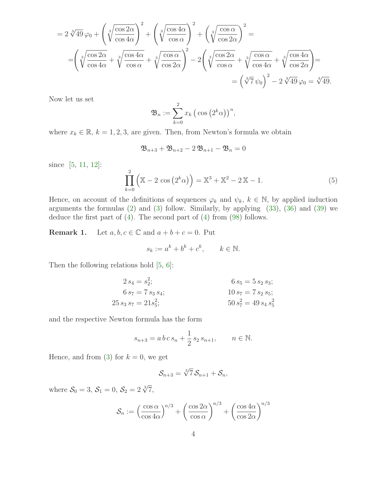$$
= 2\sqrt[3]{49}\varphi_0 + \left(\sqrt[3]{\frac{\cos 2\alpha}{\cos 4\alpha}}\right)^2 + \left(\sqrt[3]{\frac{\cos 4\alpha}{\cos \alpha}}\right)^2 + \left(\sqrt[3]{\frac{\cos \alpha}{\cos 2\alpha}}\right)^2 =
$$
  

$$
= \left(\sqrt[3]{\frac{\cos 2\alpha}{\cos 4\alpha}} + \sqrt[3]{\frac{\cos 4\alpha}{\cos \alpha}} + \sqrt[3]{\frac{\cos \alpha}{\cos 2\alpha}}\right)^2 - 2\left(\sqrt[3]{\frac{\cos 2\alpha}{\cos \alpha}} + \sqrt[3]{\frac{\cos \alpha}{\cos 4\alpha}} + \sqrt[3]{\frac{\cos 4\alpha}{\cos 2\alpha}}\right) =
$$
  

$$
= \left(\sqrt[3]{7}\psi_0\right)^2 - 2\sqrt[3]{49}\varphi_0 = \sqrt[3]{49}.
$$

Now let us set

$$
\mathfrak{B}_n := \sum_{k=0}^2 x_k \left( \cos \left( 2^k \alpha \right) \right)^n,
$$

where  $x_k \in \mathbb{R}$ ,  $k = 1, 2, 3$ , are given. Then, from Newton's formula we obtain

$$
\mathfrak{B}_{n+3}+\mathfrak{B}_{n+2}-2\,\mathfrak{B}_{n+1}-\mathfrak{B}_n=0
$$

<span id="page-3-1"></span>since [\[5,](#page-22-0) [11,](#page-22-2) [12\]](#page-22-3):

$$
\prod_{k=0}^{2} (\mathbb{X} - 2 \cos (2^{k}\alpha)) = \mathbb{X}^{3} + \mathbb{X}^{2} - 2\mathbb{X} - 1.
$$
 (5)

Hence, on account of the definitions of sequences  $\varphi_k$  and  $\psi_k$ ,  $k \in \mathbb{N}$ , by applied induction arguments the formulas  $(2)$  and  $(3)$  follow. Similarly, by applying  $(33)$ ,  $(36)$  and  $(39)$  we deduce the first part of [\(4\)](#page-2-0). The second part of [\(4\)](#page-2-0) from [\(98\)](#page-16-0) follows.

<span id="page-3-0"></span>**Remark 1.** Let  $a, b, c \in \mathbb{C}$  and  $a + b + c = 0$ . Put

$$
s_k := a^k + b^k + c^k, \qquad k \in \mathbb{N}.
$$

Then the following relations hold [\[5,](#page-22-0) [6\]](#page-22-5):

$$
2 s_4 = s_2^2;
$$
  
\n
$$
6 s_5 = 5 s_2 s_3;
$$
  
\n
$$
6 s_7 = 7 s_3 s_4;
$$
  
\n
$$
10 s_7 = 7 s_2 s_5;
$$
  
\n
$$
50 s_7^2 = 49 s_4 s_5^2
$$

and the respective Newton formula has the form

$$
s_{n+3} = a b c s_n + \frac{1}{2} s_2 s_{n+1}, \qquad n \in \mathbb{N}.
$$

Hence, and from [\(3\)](#page-1-1) for  $k = 0$ , we get

$$
\mathcal{S}_{n+3} = \sqrt[3]{7} \mathcal{S}_{n+1} + \mathcal{S}_n,
$$

where  $S_0 = 3, S_1 = 0, S_2 = 2 \sqrt[3]{7}$ ,

$$
S_n := \left(\frac{\cos \alpha}{\cos 4\alpha}\right)^{n/3} + \left(\frac{\cos 2\alpha}{\cos \alpha}\right)^{n/3} + \left(\frac{\cos 4\alpha}{\cos 2\alpha}\right)^{n/3}
$$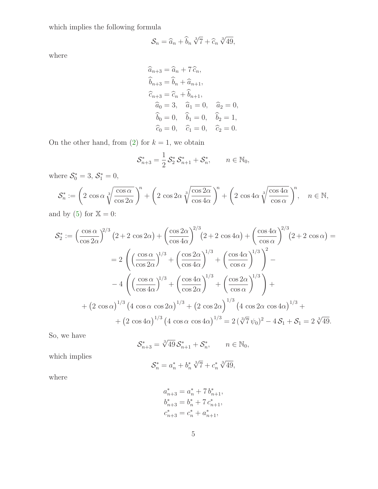which implies the following formula

$$
\mathcal{S}_n = \widehat{a}_n + \widehat{b}_n \sqrt[3]{7} + \widehat{c}_n \sqrt[3]{49},
$$

where

$$
\begin{aligned}\n\widehat{a}_{n+3} &= \widehat{a}_n + 7\,\widehat{c}_n, \\
\widehat{b}_{n+3} &= \widehat{b}_n + \widehat{a}_{n+1}, \\
\widehat{c}_{n+3} &= \widehat{c}_n + \widehat{b}_{n+1}, \\
\widehat{a}_0 &= 3, \quad \widehat{a}_1 = 0, \quad \widehat{a}_2 = 0, \\
\widehat{b}_0 &= 0, \quad \widehat{b}_1 = 0, \quad \widehat{b}_2 = 1, \\
\widehat{c}_0 &= 0, \quad \widehat{c}_1 = 0, \quad \widehat{c}_2 = 0.\n\end{aligned}
$$

On the other hand, from [\(2\)](#page-1-0) for  $k = 1$ , we obtain

$$
\mathcal{S}_{n+3}^* = \frac{1}{2} \mathcal{S}_2^* \mathcal{S}_{n+1}^* + \mathcal{S}_n^*, \qquad n \in \mathbb{N}_0,
$$

where  $S_0^* = 3, S_1^* = 0,$ 

$$
\mathcal{S}_n^* := \left(2 \cos \alpha \sqrt[3]{\frac{\cos \alpha}{\cos 2\alpha}}\right)^n + \left(2 \cos 2\alpha \sqrt[3]{\frac{\cos 2\alpha}{\cos 4\alpha}}\right)^n + \left(2 \cos 4\alpha \sqrt[3]{\frac{\cos 4\alpha}{\cos \alpha}}\right)^n, \quad n \in \mathbb{N},
$$

and by  $(5)$  for  $\mathbb{X} = 0$ :

$$
S_2^* := \left(\frac{\cos \alpha}{\cos 2\alpha}\right)^{2/3} \left(2 + 2 \cos 2\alpha\right) + \left(\frac{\cos 2\alpha}{\cos 4\alpha}\right)^{2/3} \left(2 + 2 \cos 4\alpha\right) + \left(\frac{\cos 4\alpha}{\cos \alpha}\right)^{2/3} \left(2 + 2 \cos \alpha\right) =
$$
  
= 
$$
2 \left( \left(\frac{\cos \alpha}{\cos 2\alpha}\right)^{1/3} + \left(\frac{\cos 2\alpha}{\cos 4\alpha}\right)^{1/3} + \left(\frac{\cos 4\alpha}{\cos \alpha}\right)^{1/3} \right)^2 -
$$
  

$$
-4 \left( \left(\frac{\cos \alpha}{\cos 4\alpha}\right)^{1/3} + \left(\frac{\cos 4\alpha}{\cos 2\alpha}\right)^{1/3} + \left(\frac{\cos 2\alpha}{\cos \alpha}\right)^{1/3} \right) +
$$
  
+ 
$$
\left(2 \cos \alpha\right)^{1/3} \left(4 \cos \alpha \cos 2\alpha\right)^{1/3} + \left(2 \cos 2\alpha\right)^{1/3} \left(4 \cos 2\alpha \cos 4\alpha\right)^{1/3} +
$$
  
+ 
$$
\left(2 \cos 4\alpha\right)^{1/3} \left(4 \cos \alpha \cos 4\alpha\right)^{1/3} = 2\left(\sqrt[3]{7} \psi_0\right)^2 - 4\mathcal{S}_1 + \mathcal{S}_1 = 2\sqrt[3]{49}.
$$

So, we have

$$
\mathcal{S}_{n+3}^* = \sqrt[3]{49} \, \mathcal{S}_{n+1}^* + \mathcal{S}_n^*, \qquad n \in \mathbb{N}_0,
$$

which implies

$$
S_n^* = a_n^* + b_n^* \sqrt[3]{7} + c_n^* \sqrt[3]{49},
$$

where

$$
a_{n+3}^{*} = a_{n}^{*} + 7 b_{n+1}^{*},
$$
  
\n
$$
b_{n+3}^{*} = b_{n}^{*} + 7 c_{n+1}^{*},
$$
  
\n
$$
c_{n+3}^{*} = c_{n}^{*} + a_{n+1}^{*},
$$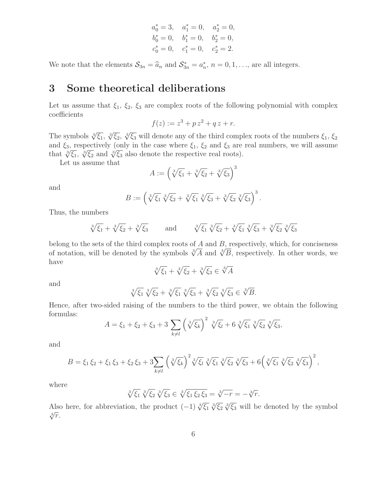$$
a_0^* = 3
$$
,  $a_1^* = 0$ ,  $a_2^* = 0$ ,  
\n $b_0^* = 0$ ,  $b_1^* = 0$ ,  $b_2^* = 0$ ,  
\n $c_0^* = 0$ ,  $c_1^* = 0$ ,  $c_2^* = 2$ .

<span id="page-5-0"></span>We note that the elements  $S_{3n} = \hat{a}_n$  and  $S_{3n}^* = a_n^*$ ,  $n = 0, 1, \ldots$ , are all integers.

## 3 Some theoretical deliberations

Let us assume that  $\xi_1$ ,  $\xi_2$ ,  $\xi_3$  are complex roots of the following polynomial with complex coefficients

$$
f(z) := z^3 + p z^2 + q z + r.
$$

The symbols  $\sqrt[3]{\xi_1}$ ,  $\sqrt[3]{\xi_2}$ ,  $\sqrt[3]{\xi_3}$  will denote any of the third complex roots of the numbers  $\xi_1$ ,  $\xi_2$ and  $\xi_3$ , respectively (only in the case where  $\xi_1$ ,  $\xi_2$  and  $\xi_3$  are real numbers, we will assume that  $\sqrt[3]{\xi_1}$ ,  $\sqrt[3]{\xi_2}$  and  $\sqrt[3]{\xi_3}$  also denote the respective real roots).

Let us assume that

$$
A := \left(\sqrt[3]{\xi_1} + \sqrt[3]{\xi_2} + \sqrt[3]{\xi_3}\right)^3
$$

and

$$
B := \left(\sqrt[3]{\xi_1} \sqrt[3]{\xi_2} + \sqrt[3]{\xi_1} \sqrt[3]{\xi_3} + \sqrt[3]{\xi_2} \sqrt[3]{\xi_3}\right)^3
$$

.

Thus, the numbers

$$
\sqrt[3]{\xi_1} + \sqrt[3]{\xi_2} + \sqrt[3]{\xi_3}
$$
 and  $\sqrt[3]{\xi_1} \sqrt[3]{\xi_2} + \sqrt[3]{\xi_1} \sqrt[3]{\xi_3} + \sqrt[3]{\xi_2} \sqrt[3]{\xi_3}$ 

belong to the sets of the third complex roots of  $A$  and  $B$ , respectively, which, for conciseness of notation, will be denoted by the symbols  $\sqrt[3]{A}$  and  $\sqrt[3]{B}$ , respectively. In other words, we have

$$
\sqrt[3]{\xi_1} + \sqrt[3]{\xi_2} + \sqrt[3]{\xi_3} \in \sqrt[3]{A}
$$

and

$$
\sqrt[3]{\xi_1} \sqrt[3]{\xi_2} + \sqrt[3]{\xi_1} \sqrt[3]{\xi_3} + \sqrt[3]{\xi_2} \sqrt[3]{\xi_3} \in \sqrt[3]{B}.
$$

Hence, after two-sided raising of the numbers to the third power, we obtain the following formulas:

$$
A = \xi_1 + \xi_2 + \xi_3 + 3 \sum_{k \neq l} \left( \sqrt[3]{\xi_k} \right)^2 \sqrt[3]{\xi_l} + 6 \sqrt[3]{\xi_1} \sqrt[3]{\xi_2} \sqrt[3]{\xi_3},
$$

and

$$
B = \xi_1 \xi_2 + \xi_1 \xi_3 + \xi_2 \xi_3 + 3 \sum_{k \neq l} \left( \sqrt[3]{\xi_k} \right)^2 \sqrt[3]{\xi_l} \sqrt[3]{\xi_1} \sqrt[3]{\xi_2} \sqrt[3]{\xi_3} + 6 \left( \sqrt[3]{\xi_1} \sqrt[3]{\xi_2} \sqrt[3]{\xi_3} \right)^2,
$$

where

$$
\sqrt[3]{\xi_1} \sqrt[3]{\xi_2} \sqrt[3]{\xi_3} \in \sqrt[3]{\xi_1 \xi_2 \xi_3} = \sqrt[3]{-r} = -\sqrt[3]{r}.
$$

Also here, for abbreviation, the product  $(-1) \sqrt[3]{\xi_1} \sqrt[3]{\xi_2} \sqrt[3]{\xi_3}$  will be denoted by the symbol  $\sqrt[3]{r}$ .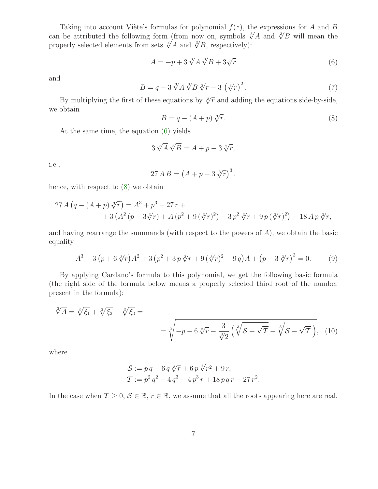Taking into account Viète's formulas for polynomial  $f(z)$ , the expressions for A and B can be attributed the following form (from now on, symbols  $\sqrt[3]{A}$  and  $\sqrt[3]{B}$  will mean the properly selected elements from sets  $\sqrt[3]{A}$  and  $\sqrt[3]{B}$ , respectively):

<span id="page-6-1"></span>
$$
A = -p + 3\sqrt[3]{A}\sqrt[3]{B} + 3\sqrt[3]{r}
$$
\n
$$
(6)
$$

and

<span id="page-6-2"></span>
$$
B = q - 3\sqrt[3]{A}\sqrt[3]{B}\sqrt[3]{r} - 3\left(\sqrt[3]{r}\right)^2.
$$
 (7)

By multiplying the first of these equations by  $\sqrt[3]{r}$  and adding the equations side-by-side, we obtain

$$
B = q - (A + p) \sqrt[3]{r}.
$$
 (8)

At the same time, the equation [\(6\)](#page-6-1) yields

$$
3\sqrt[3]{A}\sqrt[3]{B} = A + p - 3\sqrt[3]{r},
$$

i.e.,

$$
27\,A\,B = \left(A + p - 3\sqrt[3]{r}\right)^3,
$$

hence, with respect to [\(8\)](#page-6-2) we obtain

$$
27 A (q - (A + p) \sqrt[3]{r}) = A^3 + p^3 - 27 r +
$$
  
+ 3 (A<sup>2</sup> (p - 3\sqrt[3]{r}) + A (p<sup>2</sup> + 9 (\sqrt[3]{r})<sup>2</sup>) - 3 p<sup>2</sup> \sqrt[3]{r} + 9 p (\sqrt[3]{r})<sup>2</sup>) - 18 A p \sqrt[3]{r},

<span id="page-6-3"></span>and having rearrange the summands (with respect to the powers of  $A$ ), we obtain the basic equality

$$
A^{3} + 3(p + 6\sqrt[3]{r})A^{2} + 3(p^{2} + 3p\sqrt[3]{r} + 9(\sqrt[3]{r})^{2} - 9q)A + (p - 3\sqrt[3]{r})^{3} = 0.
$$
 (9)

By applying Cardano's formula to this polynomial, we get the following basic formula (the right side of the formula below means a properly selected third root of the number present in the formula):

$$
\sqrt[3]{A} = \sqrt[3]{\xi_1} + \sqrt[3]{\xi_2} + \sqrt[3]{\xi_3} =
$$
  
= 
$$
\sqrt[3]{-p - 6\sqrt[3]{r} - \frac{3}{\sqrt[3]{2}}\left(\sqrt[3]{S + \sqrt{T}} + \sqrt[3]{S - \sqrt{T}}\right)},
$$
 (10)

where

<span id="page-6-0"></span>
$$
S := p q + 6 q \sqrt[3]{r} + 6 p \sqrt[3]{r^2} + 9 r,
$$
  
\n
$$
T := p^2 q^2 - 4 q^3 - 4 p^3 r + 18 p q r - 27 r^2.
$$

In the case when  $\mathcal{T} \geq 0, \mathcal{S} \in \mathbb{R}, r \in \mathbb{R}$ , we assume that all the roots appearing here are real.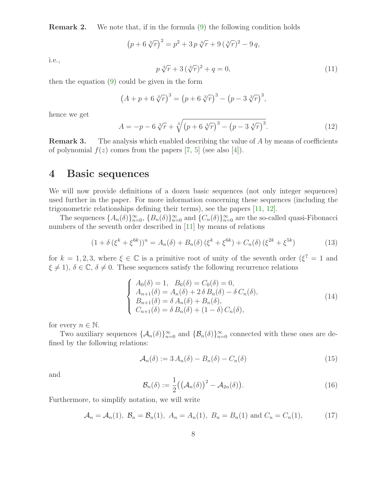**Remark 2.** We note that, if in the formula  $(9)$  the following condition holds

$$
(p + 6 \sqrt[3]{r})^2 = p^2 + 3 p \sqrt[3]{r} + 9 (\sqrt[3]{r})^2 - 9 q,
$$

i.e.,

$$
p\sqrt[3]{r} + 3(\sqrt[3]{r})^2 + q = 0,
$$
\n(11)

then the equation [\(9\)](#page-6-3) could be given in the form

$$
(A + p + 6 \sqrt[3]{r})^3 = (p + 6 \sqrt[3]{r})^3 - (p - 3 \sqrt[3]{r})^3,
$$

hence we get

$$
A = -p - 6\sqrt[3]{r} + \sqrt[3]{(p + 6\sqrt[3]{r})^3 - (p - 3\sqrt[3]{r})^3}.
$$
 (12)

**Remark 3.** The analysis which enabled describing the value of A by means of coefficients of polynomial  $f(z)$  comes from the papers [\[7,](#page-22-1) [5\]](#page-22-0) (see also [\[4\]](#page-22-6)).

## <span id="page-7-0"></span>4 Basic sequences

We will now provide definitions of a dozen basic sequences (not only integer sequences) used further in the paper. For more information concerning these sequences (including the trigonometric relationships defining their terms), see the papers [\[11,](#page-22-2) [12\]](#page-22-3).

The sequences  $\{A_n(\delta)\}_{n=0}^{\infty}$ ,  $\{B_n(\delta)\}_{n=0}^{\infty}$  and  $\{C_n(\delta)\}_{n=0}^{\infty}$  are the so-called quasi-Fibonacci numbers of the seventh order described in [\[11\]](#page-22-2) by means of relations

$$
(1 + \delta (\xi^{k} + \xi^{6k}))^{n} = A_{n}(\delta) + B_{n}(\delta) (\xi^{k} + \xi^{6k}) + C_{n}(\delta) (\xi^{2k} + \xi^{5k})
$$
(13)

<span id="page-7-2"></span>for  $k = 1, 2, 3$ , where  $\xi \in \mathbb{C}$  is a primitive root of unity of the seventh order  $(\xi^7 = 1$  and  $\xi \neq 1$ ,  $\delta \in \mathbb{C}, \delta \neq 0$ . These sequences satisfy the following recurrence relations

$$
\begin{cases}\nA_0(\delta) = 1, & B_0(\delta) = C_0(\delta) = 0, \\
A_{n+1}(\delta) = A_n(\delta) + 2 \delta B_n(\delta) - \delta C_n(\delta), \\
B_{n+1}(\delta) = \delta A_n(\delta) + B_n(\delta), \\
C_{n+1}(\delta) = \delta B_n(\delta) + (1 - \delta) C_n(\delta),\n\end{cases}
$$
\n(14)

for every  $n \in \mathbb{N}$ .

Two auxiliary sequences  $\{\mathcal{A}_n(\delta)\}_{n=0}^{\infty}$  and  $\{\mathcal{B}_n(\delta)\}_{n=0}^{\infty}$  connected with these ones are defined by the following relations:

$$
\mathcal{A}_n(\delta) := 3 A_n(\delta) - B_n(\delta) - C_n(\delta) \tag{15}
$$

and

$$
\mathcal{B}_n(\delta) := \frac{1}{2} ((\mathcal{A}_n(\delta))^2 - \mathcal{A}_{2n}(\delta)).
$$
\n(16)

<span id="page-7-1"></span>Furthermore, to simplify notation, we will write

$$
\mathcal{A}_n = \mathcal{A}_n(1), \ \mathcal{B}_n = \mathcal{B}_n(1), \ \mathcal{A}_n = \mathcal{A}_n(1), \ B_n = B_n(1) \text{ and } C_n = C_n(1),
$$
 (17)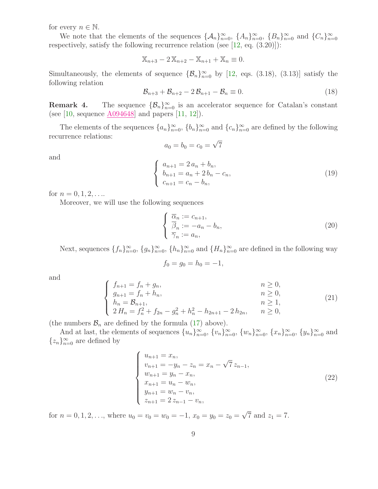for every  $n \in \mathbb{N}$ .

We note that the elements of the sequences  $\{\mathcal{A}_n\}_{n=0}^{\infty}$ ,  $\{A_n\}_{n=0}^{\infty}$ ,  $\{B_n\}_{n=0}^{\infty}$  and  $\{C_n\}_{n=0}^{\infty}$ respectively, satisfy the following recurrence relation (see [\[12,](#page-22-3) eq. (3.20)]):

$$
\mathbb{X}_{n+3} - 2\mathbb{X}_{n+2} - \mathbb{X}_{n+1} + \mathbb{X}_n \equiv 0.
$$

Simultaneously, the elements of sequence  $\{\mathcal{B}_n\}_{n=0}^{\infty}$  by [\[12,](#page-22-3) eqs. (3.18), (3.13)] satisfy the following relation

<span id="page-8-2"></span>
$$
\mathcal{B}_{n+3} + \mathcal{B}_{n+2} - 2\mathcal{B}_{n+1} - \mathcal{B}_n \equiv 0.
$$
 (18)

**Remark 4.** The sequence  $\{\mathcal{B}_n\}_{n=0}^{\infty}$  is an accelerator sequence for Catalan's constant (see [\[10,](#page-22-7) sequence  $\underline{A094648}$ ] and papers [\[11,](#page-22-2) [12\]](#page-22-3)).

The elements of the sequences  $\{a_n\}_{n=0}^{\infty}$ ,  $\{b_n\}_{n=0}^{\infty}$  and  $\{c_n\}_{n=0}^{\infty}$  are defined by the following recurrence relations:

$$
a_0 = b_0 = c_0 = \sqrt{7}
$$

and

<span id="page-8-1"></span>
$$
\begin{cases}\n a_{n+1} = 2 a_n + b_n, \\
 b_{n+1} = a_n + 2 b_n - c_n, \\
 c_{n+1} = c_n - b_n,\n\end{cases}
$$
\n(19)

for  $n = 0, 1, 2, \ldots$ 

Moreover, we will use the following sequences

$$
\begin{cases} \overline{\alpha}_n := c_{n+1}, \\ \overline{\beta}_n := -a_n - b_n, \\ \overline{\gamma}_n := a_n, \end{cases}
$$
 (20)

Next, sequences  $\{f_n\}_{n=0}^{\infty}$ ,  $\{g_n\}_{n=0}^{\infty}$ ,  $\{h_n\}_{n=0}^{\infty}$  and  $\{H_n\}_{n=0}^{\infty}$  are defined in the following way

$$
f_0 = g_0 = h_0 = -1,
$$

<span id="page-8-0"></span>and

$$
\begin{cases}\nf_{n+1} = f_n + g_n, & n \ge 0, \\
g_{n+1} = f_n + h_n, & n \ge 0, \\
h_n = B_{n+1}, & n \ge 1, \\
2 H_n = f_n^2 + f_{2n} - g_n^2 + h_n^2 - h_{2n+1} - 2 h_{2n}, & n \ge 0,\n\end{cases}
$$
\n(21)

(the numbers  $\mathcal{B}_n$  are defined by the formula [\(17\)](#page-7-1) above).

And at last, the elements of sequences  $\{u_n\}_{n=0}^{\infty}$ ,  $\{v_n\}_{n=0}^{\infty}$ ,  $\{w_n\}_{n=0}^{\infty}$ ,  $\{x_n\}_{n=0}^{\infty}$ ,  $\{y_n\}_{n=0}^{\infty}$  and  $\{z_n\}_{n=0}^{\infty}$  are defined by

$$
\begin{cases}\nu_{n+1} = x_n, \\
v_{n+1} = -y_n - z_n = x_n - \sqrt{7} z_{n-1}, \\
w_{n+1} = y_n - x_n, \\
x_{n+1} = u_n - w_n, \\
y_{n+1} = w_n - v_n, \\
z_{n+1} = 2 z_{n-1} - v_n,\n\end{cases}
$$
\n(22)

for  $n = 0, 1, 2, \ldots$ , where  $u_0 = v_0 = w_0 = -1$ ,  $x_0 = y_0 = z_0 = \sqrt{7}$  and  $z_1 = 7$ .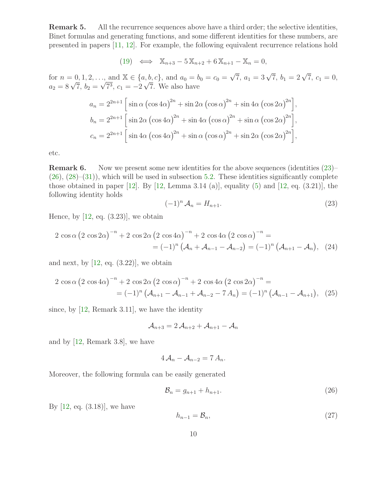Remark 5. All the recurrence sequences above have a third order; the selective identities, Binet formulas and generating functions, and some different identities for these numbers, are presented in papers [\[11,](#page-22-2) [12\]](#page-22-3). For example, the following equivalent recurrence relations hold

(19) 
$$
\iff
$$
  $\mathbb{X}_{n+3} - 5\mathbb{X}_{n+2} + 6\mathbb{X}_{n+1} - \mathbb{X}_n = 0,$ 

for  $n = 0, 1, 2, \ldots$ , and  $\mathbb{X} \in \{a, b, c\}$ , and  $a_0 = b_0 = c_0 = \sqrt{7}$ ,  $a_1 = 3\sqrt{7}$ ,  $b_1 = 2\sqrt{7}$ ,  $c_1 = 0$ ,  $a_2 = 8\sqrt{7}, b_2 = \sqrt{7^3}, c_1 = -2\sqrt{7}$ . We also have

$$
a_n = 2^{2n+1} \left[ \sin \alpha \left( \cos 4\alpha \right)^{2n} + \sin 2\alpha \left( \cos \alpha \right)^{2n} + \sin 4\alpha \left( \cos 2\alpha \right)^{2n} \right],
$$
  
\n
$$
b_n = 2^{2n+1} \left[ \sin 2\alpha \left( \cos 4\alpha \right)^{2n} + \sin 4\alpha \left( \cos \alpha \right)^{2n} + \sin \alpha \left( \cos 2\alpha \right)^{2n} \right],
$$
  
\n
$$
c_n = 2^{2n+1} \left[ \sin 4\alpha \left( \cos 4\alpha \right)^{2n} + \sin \alpha \left( \cos \alpha \right)^{2n} + \sin 2\alpha \left( \cos 2\alpha \right)^{2n} \right],
$$

etc.

**Remark 6.** Now we present some new identities for the above sequences (identities  $(23)$ –  $(26), (28)–(31)$  $(26), (28)–(31)$  $(26), (28)–(31)$  $(26), (28)–(31)$  $(26), (28)–(31)$ , which will be used in subsection [5.2.](#page-14-0) These identities significantly complete those obtained in paper [\[12\]](#page-22-3). By [\[12,](#page-22-3) Lemma 3.14 (a)], equality  $(5)$  and [12, eq.  $(3.21)$ ], the following identity holds

<span id="page-9-4"></span><span id="page-9-3"></span><span id="page-9-0"></span>
$$
(-1)^n \mathcal{A}_n = H_{n+1}.\tag{23}
$$

Hence, by  $[12, \text{ eq. } (3.23)]$ , we obtain

$$
2 \cos \alpha (2 \cos 2\alpha)^{-n} + 2 \cos 2\alpha (2 \cos 4\alpha)^{-n} + 2 \cos 4\alpha (2 \cos \alpha)^{-n} =
$$
  
=  $(-1)^n (A_n + A_{n-1} - A_{n-2}) = (-1)^n (A_{n+1} - A_n),$  (24)

and next, by  $[12, \text{ eq. } (3.22)]$ , we obtain

$$
2 \cos \alpha (2 \cos 4\alpha)^{-n} + 2 \cos 2\alpha (2 \cos \alpha)^{-n} + 2 \cos 4\alpha (2 \cos 2\alpha)^{-n} =
$$
  
=  $(-1)^n (\mathcal{A}_{n+1} - \mathcal{A}_{n-1} + \mathcal{A}_{n-2} - 7 \mathcal{A}_n) = (-1)^n (\mathcal{A}_{n-1} - \mathcal{A}_{n+1}),$  (25)

since, by [\[12,](#page-22-3) Remark 3.11], we have the identity

$$
\mathcal{A}_{n+3}=2\,\mathcal{A}_{n+2}+\mathcal{A}_{n+1}-\mathcal{A}_n
$$

and by [\[12,](#page-22-3) Remark 3.8], we have

$$
4\mathcal{A}_n - \mathcal{A}_{n-2} = 7\mathcal{A}_n.
$$

Moreover, the following formula can be easily generated

<span id="page-9-2"></span><span id="page-9-1"></span>
$$
\mathcal{B}_n = g_{n+1} + h_{n+1}.\tag{26}
$$

By  $[12, \text{ eq. } (3.18)]$ , we have

$$
h_{n-1} = \mathcal{B}_n,\tag{27}
$$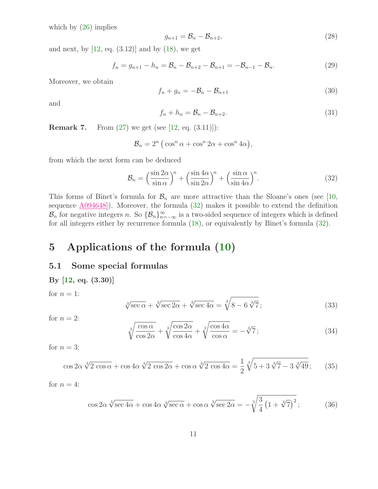which by [\(26\)](#page-9-1) implies

$$
g_{n+1} = \mathcal{B}_n - \mathcal{B}_{n+2},\tag{28}
$$

and next, by  $[12, \text{ eq. } (3.12)]$  and by  $(18)$ , we get

<span id="page-10-5"></span><span id="page-10-4"></span>
$$
f_n = g_{n+1} - h_n = \mathcal{B}_n - \mathcal{B}_{n+2} - \mathcal{B}_{n+1} = -\mathcal{B}_{n-1} - \mathcal{B}_n.
$$
 (29)

Moreover, we obtain

$$
f_n + g_n = -\mathcal{B}_n - \mathcal{B}_{n+1} \tag{30}
$$

and

$$
f_n + h_n = \mathcal{B}_n - \mathcal{B}_{n+2}.
$$
\n(31)

<span id="page-10-0"></span>**Remark 7.** From  $(27)$  we get (see [\[12,](#page-22-3) eq.  $(3.11)$ ]):

$$
\mathcal{B}_n = 2^n \left( \cos^n \alpha + \cos^n 2\alpha + \cos^n 4\alpha \right),\,
$$

<span id="page-10-6"></span>from which the next form can be deduced

$$
\mathcal{B}_n = \left(\frac{\sin 2\alpha}{\sin \alpha}\right)^n + \left(\frac{\sin 4\alpha}{\sin 2\alpha}\right)^n + \left(\frac{\sin \alpha}{\sin 4\alpha}\right)^n. \tag{32}
$$

This forms of Binet's formula for  $\mathcal{B}_n$  are more attractive than the Sloane's ones (see [\[10,](#page-22-7) sequence  $\underline{A094648}]$ . Moreover, the formula [\(32\)](#page-10-6) makes it possible to extend the definition  $\mathcal{B}_n$  for negative integers n. So  $\{\mathcal{B}_n\}_{n=-\infty}^{\infty}$  is a two-sided sequence of integers which is defined for all integers either by recurrence formula [\(18\)](#page-8-2), or equivalently by Binet's formula [\(32\)](#page-10-6).

## 5 Applications of the formula [\(10\)](#page-6-0)

#### 5.1 Some special formulas

<span id="page-10-2"></span>By [12, eq. (3.30)]  
for 
$$
n = 1
$$
:  

$$
\sqrt[3]{\sec \alpha} + \sqrt[3]{\sec 2\alpha} + \sqrt[3]{\sec 4\alpha} = \sqrt[3]{8 - 6 \sqrt[3]{7}};
$$
(33)

<span id="page-10-1"></span>for  $n = 2$ :

$$
\sqrt[3]{\frac{\cos \alpha}{\cos 2\alpha}} + \sqrt[3]{\frac{\cos 2\alpha}{\cos 4\alpha}} + \sqrt[3]{\frac{\cos 4\alpha}{\cos \alpha}} = -\sqrt[3]{7};\tag{34}
$$

for  $n = 3$ :

$$
\cos 2\alpha \sqrt[3]{2 \cos \alpha} + \cos 4\alpha \sqrt[3]{2 \cos 2\alpha} + \cos \alpha \sqrt[3]{2 \cos 4\alpha} = \frac{1}{2} \sqrt[3]{5 + 3\sqrt[3]{7} - 3\sqrt[3]{49}}; \tag{35}
$$

<span id="page-10-3"></span>for  $n = 4$ :

$$
\cos 2\alpha \sqrt[3]{\sec 4\alpha} + \cos 4\alpha \sqrt[3]{\sec \alpha} + \cos \alpha \sqrt[3]{\sec 2\alpha} = -\sqrt[3]{\frac{3}{4} \left(1 + \sqrt[3]{7}\right)^2};
$$
\n(36)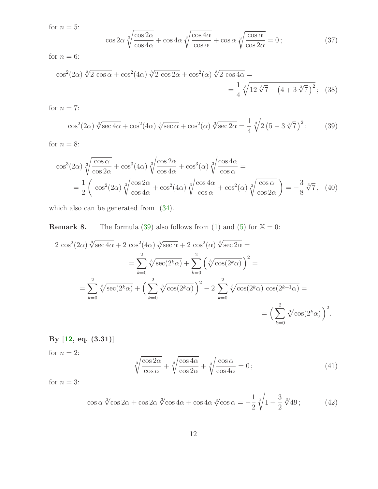<span id="page-11-0"></span>for  $n = 5$ :

<span id="page-11-5"></span>
$$
\cos 2\alpha \sqrt[3]{\frac{\cos 2\alpha}{\cos 4\alpha}} + \cos 4\alpha \sqrt[3]{\frac{\cos 4\alpha}{\cos \alpha}} + \cos \alpha \sqrt[3]{\frac{\cos \alpha}{\cos 2\alpha}} = 0;
$$
\n(37)

for  $n = 6$ :

$$
\cos^{2}(2\alpha) \sqrt[3]{2 \cos \alpha} + \cos^{2}(4\alpha) \sqrt[3]{2 \cos 2\alpha} + \cos^{2}(\alpha) \sqrt[3]{2 \cos 4\alpha} =
$$
  
=  $\frac{1}{4} \sqrt[3]{12 \sqrt[3]{7} - (4 + 3 \sqrt[3]{7})^{2}}$ ; (38)

$$
\cos^2(2\alpha)\sqrt[3]{\sec 4\alpha} + \cos^2(4\alpha)\sqrt[3]{\sec \alpha} + \cos^2(\alpha)\sqrt[3]{\sec 2\alpha} = \frac{1}{4}\sqrt[3]{2\left(5 - 3\sqrt[3]{7}\right)^2};\tag{39}
$$

for  $n = 8$ :

<span id="page-11-3"></span>for  $n = 7$ :

<span id="page-11-1"></span>
$$
\cos^3(2\alpha)\sqrt[3]{\frac{\cos\alpha}{\cos 2\alpha}} + \cos^3(4\alpha)\sqrt[3]{\frac{\cos 2\alpha}{\cos 4\alpha}} + \cos^3(\alpha)\sqrt[3]{\frac{\cos 4\alpha}{\cos \alpha}} =
$$
  
=  $\frac{1}{2}\left(\cos^2(2\alpha)\sqrt[3]{\frac{\cos 2\alpha}{\cos 4\alpha}} + \cos^2(4\alpha)\sqrt[3]{\frac{\cos 4\alpha}{\cos \alpha}} + \cos^2(\alpha)\sqrt[3]{\frac{\cos \alpha}{\cos 2\alpha}}\right) = -\frac{3}{8}\sqrt[3]{7}$ , (40)

which also can be generated from [\(34\)](#page-10-1).

**Remark 8.** The formula [\(39\)](#page-11-3) also follows from [\(1\)](#page-0-0) and [\(5\)](#page-3-1) for  $\mathbb{X} = 0$ :

$$
2 \cos^{2}(2\alpha) \sqrt[3]{\sec 4\alpha} + 2 \cos^{2}(4\alpha) \sqrt[3]{\sec \alpha} + 2 \cos^{2}(\alpha) \sqrt[3]{\sec 2\alpha} =
$$
  

$$
= \sum_{k=0}^{2} \sqrt[3]{\sec(2^{k}\alpha)} + \sum_{k=0}^{2} (\sqrt[3]{\cos(2^{k}\alpha)})^{2} =
$$
  

$$
= \sum_{k=0}^{2} \sqrt[3]{\sec(2^{k}\alpha)} + (\sum_{k=0}^{2} \sqrt[3]{\cos(2^{k}\alpha)})^{2} - 2 \sum_{k=0}^{2} \sqrt[3]{\cos(2^{k}\alpha) \cos(2^{k+1}\alpha)} =
$$
  

$$
= (\sum_{k=0}^{2} \sqrt[3]{\cos(2^{k}\alpha)})^{2}.
$$

By [\[12,](#page-22-3) eq. (3.31)]

for  $n = 2$ :

$$
\sqrt[3]{\frac{\cos 2\alpha}{\cos \alpha}} + \sqrt[3]{\frac{\cos 4\alpha}{\cos 2\alpha}} + \sqrt[3]{\frac{\cos \alpha}{\cos 4\alpha}} = 0;
$$
\n(41)

<span id="page-11-4"></span>for  $n = 3$ :

<span id="page-11-2"></span>
$$
\cos\alpha\sqrt[3]{\cos 2\alpha} + \cos 2\alpha\sqrt[3]{\cos 4\alpha} + \cos 4\alpha\sqrt[3]{\cos \alpha} = -\frac{1}{2}\sqrt[3]{1 + \frac{3}{2}\sqrt[3]{49}};
$$
 (42)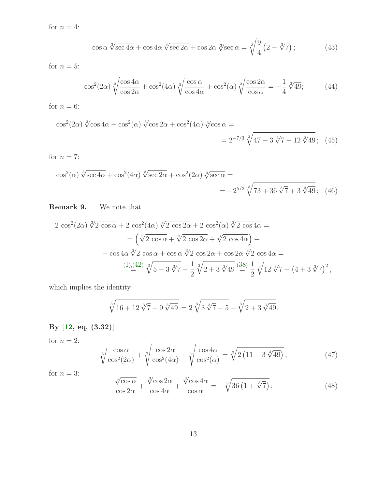for  $n = 4$ :

$$
\cos \alpha \sqrt[3]{\sec 4\alpha} + \cos 4\alpha \sqrt[3]{\sec 2\alpha} + \cos 2\alpha \sqrt[3]{\sec \alpha} = \sqrt[3]{\frac{9}{4} \left(2 - \sqrt[3]{7}\right)}; \tag{43}
$$

<span id="page-12-0"></span>for  $n = 5$ :

$$
\cos^2(2\alpha)\sqrt[3]{\frac{\cos 4\alpha}{\cos 2\alpha}} + \cos^2(4\alpha)\sqrt[3]{\frac{\cos \alpha}{\cos 4\alpha}} + \cos^2(\alpha)\sqrt[3]{\frac{\cos 2\alpha}{\cos \alpha}} = -\frac{1}{4}\sqrt[3]{49};\tag{44}
$$

for  $n = 6$ :

$$
\cos^{2}(2\alpha) \sqrt[3]{\cos 4\alpha} + \cos^{2}(\alpha) \sqrt[3]{\cos 2\alpha} + \cos^{2}(4\alpha) \sqrt[3]{\cos \alpha} =
$$
  
=  $2^{-7/3} \sqrt[3]{47 + 3 \sqrt[3]{7} - 12 \sqrt[3]{49}};$  (45)

for  $n = 7$ :

$$
\cos^{2}(\alpha) \sqrt[3]{\sec 4\alpha} + \cos^{2}(4\alpha) \sqrt[3]{\sec 2\alpha} + \cos^{2}(2\alpha) \sqrt[3]{\sec \alpha} =
$$
  
=  $-2^{5/3} \sqrt[3]{73 + 36 \sqrt[3]{7} + 3 \sqrt[3]{49}};$  (46)

Remark 9. We note that

$$
2 \cos^{2}(2\alpha) \sqrt[3]{2 \cos \alpha} + 2 \cos^{2}(4\alpha) \sqrt[3]{2 \cos 2\alpha} + 2 \cos^{2}(\alpha) \sqrt[3]{2 \cos 4\alpha} =
$$
  
=  $(\sqrt[3]{2 \cos \alpha} + \sqrt[3]{2 \cos 2\alpha} + \sqrt[3]{2 \cos 4\alpha}) +$   
+  $\cos 4\alpha \sqrt[3]{2 \cos \alpha} + \cos \alpha \sqrt[3]{2 \cos 2\alpha} + \cos 2\alpha \sqrt[3]{2 \cos 4\alpha} =$   
 $(1)_{\frac{1}{2}}(42) \sqrt[3]{5 - 3 \sqrt[3]{7}} - \frac{1}{2} \sqrt[3]{2 + 3 \sqrt[3]{49}} \stackrel{(38)}{=} \frac{1}{2} \sqrt[3]{12 \sqrt[3]{7} - (4 + 3 \sqrt[3]{7})^{2}},$ 

which implies the identity

$$
\sqrt[3]{16+12\sqrt[3]{7}+9\sqrt[3]{49}} = 2\sqrt[3]{3\sqrt[3]{7}-5} + \sqrt[3]{2+3\sqrt[3]{49}}.
$$

## By [\[12,](#page-22-3) eq. (3.32)]

for  $n = 2$ :

$$
\sqrt[3]{\frac{\cos\alpha}{\cos^2(2\alpha)}} + \sqrt[3]{\frac{\cos 2\alpha}{\cos^2(4\alpha)}} + \sqrt[3]{\frac{\cos 4\alpha}{\cos^2(\alpha)}} = \sqrt[3]{2(11 - 3\sqrt[3]{49})};
$$
\n(47)

for 
$$
n = 3
$$
:

$$
\frac{\sqrt[3]{\cos\alpha}}{\cos 2\alpha} + \frac{\sqrt[3]{\cos 2\alpha}}{\cos 4\alpha} + \frac{\sqrt[3]{\cos 4\alpha}}{\cos \alpha} = -\sqrt[3]{36\left(1 + \sqrt[3]{7}\right)};
$$
\n(48)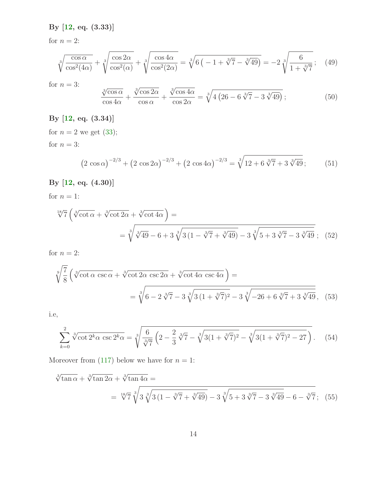By [\[12,](#page-22-3) eq. (3.33)]

for  $n = 2$ :

$$
\sqrt[3]{\frac{\cos \alpha}{\cos^2(4\alpha)}} + \sqrt[3]{\frac{\cos 2\alpha}{\cos^2(\alpha)}} + \sqrt[3]{\frac{\cos 4\alpha}{\cos^2(2\alpha)}} = \sqrt[3]{6 \left( -1 + \sqrt[3]{7} - \sqrt[3]{49} \right)} = -2 \sqrt[3]{\frac{6}{1 + \sqrt[3]{7}}};
$$
(49)

for  $n = 3$ :  $\sqrt[3]{\cos \alpha}$  $\cos 4\alpha$  $+$  $\sqrt[3]{\cos 2\alpha}$  $\cos \alpha$  $+$  $\sqrt[3]{\cos 4\alpha}$  $\cos 2\alpha$  $=\sqrt[3]{}$  $4(26 - 6\sqrt[3]{7} - 3\sqrt[3]{49})$ ; (50)

#### By [\[12,](#page-22-3) eq. (3.34)]

for  $n = 2$  we get [\(33\)](#page-10-2); for  $n = 3$ :

$$
(2\cos\alpha)^{-2/3} + (2\cos 2\alpha)^{-2/3} + (2\cos 4\alpha)^{-2/3} = \sqrt[3]{12 + 6\sqrt[3]{7} + 3\sqrt[3]{49}}; \tag{51}
$$

### By [\[12,](#page-22-3) eq. (4.30)]

for  $n = 1$ :

$$
\sqrt[18]{7} \left( \sqrt[3]{\cot \alpha} + \sqrt[3]{\cot 2\alpha} + \sqrt[3]{\cot 4\alpha} \right) =
$$
  
=  $\sqrt[3]{\sqrt[3]{49} - 6 + 3\sqrt[3]{3(1 - \sqrt[3]{7} + \sqrt[3]{49}} - 3\sqrt[3]{5 + 3\sqrt[3]{7} - 3\sqrt[3]{49}}};$  (52)

for  $n = 2$ :

$$
\sqrt[9]{\frac{7}{8}} \left( \sqrt[3]{\cot \alpha \csc \alpha} + \sqrt[3]{\cot 2\alpha \csc 2\alpha} + \sqrt[3]{\cot 4\alpha \csc 4\alpha} \right) =
$$
\n
$$
= \sqrt[3]{6 - 2\sqrt[3]{7} - 3\sqrt[3]{3(1 + \sqrt[3]{7})^2} - 3\sqrt[3]{-26 + 6\sqrt[3]{7} + 3\sqrt[3]{49}}, \quad (53)
$$

i.e,

$$
\sum_{k=0}^{2} \sqrt[3]{\cot 2^k \alpha \csc 2^k \alpha} = \sqrt[3]{\frac{6}{\sqrt[3]{7}} \left(2 - \frac{2}{3} \sqrt[3]{7} - \sqrt[3]{3(1 + \sqrt[3]{7})^2} - \sqrt[3]{3(1 + \sqrt[3]{7})^2 - 27} \right)}.
$$
 (54)

Moreover from [\(117\)](#page-20-0) below we have for  $n = 1$ :

$$
\sqrt[3]{\tan \alpha} + \sqrt[3]{\tan 2\alpha} + \sqrt[3]{\tan 4\alpha} =
$$
\n
$$
= \sqrt[18]{7} \sqrt[3]{3} \sqrt[3]{3(1 - \sqrt[3]{7} + \sqrt[3]{49})} - 3\sqrt[3]{5 + 3\sqrt[3]{7} - 3\sqrt[3]{49} - 6 - \sqrt[3]{7}}; (55)
$$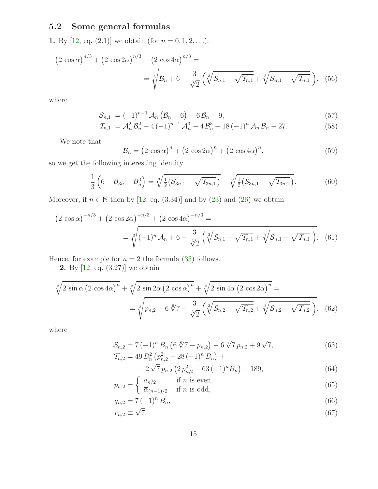### <span id="page-14-0"></span>5.2 Some general formulas

1. By [\[12,](#page-22-3) eq. (2.1)] we obtain (for  $n = 0, 1, 2, ...$ ):

$$
(2 \cos \alpha)^{n/3} + (2 \cos 2\alpha)^{n/3} + (2 \cos 4\alpha)^{n/3} =
$$
  
=  $\sqrt[3]{\mathcal{B}_n + 6 - \frac{3}{\sqrt[3]{2}} (\sqrt[3]{\mathcal{S}_{n,1} + \sqrt{\mathcal{T}_{n,1}}} + \sqrt[3]{\mathcal{S}_{n,1} - \sqrt{\mathcal{T}_{n,1}}})},$  (56)

where

$$
\mathcal{S}_{n,1} := (-1)^{n-1} \mathcal{A}_n \left( \mathcal{B}_n + 6 \right) - 6 \mathcal{B}_n - 9, \tag{57}
$$

$$
\mathcal{T}_{n,1} := \mathcal{A}_n^2 \mathcal{B}_n^2 + 4(-1)^{n-1} \mathcal{A}_n^3 - 4 \mathcal{B}_n^3 + 18(-1)^n \mathcal{A}_n \mathcal{B}_n - 27.
$$
 (58)

We note that

$$
\mathcal{B}_n = \left(2 \cos \alpha\right)^n + \left(2 \cos 2\alpha\right)^n + \left(2 \cos 4\alpha\right)^n,\tag{59}
$$

so we get the following interesting identity

$$
\frac{1}{3}\left(6+\mathcal{B}_{3n}-\mathcal{B}_{n}^{3}\right)=\sqrt[3]{\frac{1}{2}\left(\mathcal{S}_{3n,1}+\sqrt{\mathcal{I}_{3n,1}}\right)}+\sqrt[3]{\frac{1}{2}\left(\mathcal{S}_{3n,1}-\sqrt{\mathcal{I}_{3n,1}}\right)}.
$$
\n(60)

Moreover, if  $n \in \mathbb{N}$  then by [\[12,](#page-22-3) eq. (3.34)] and by [\(23\)](#page-9-0) and [\(26\)](#page-9-1) we obtain

$$
(2 \cos \alpha)^{-n/3} + (2 \cos 2\alpha)^{-n/3} + (2 \cos 4\alpha)^{-n/3} =
$$
  
=  $\sqrt[3]{(-1)^n \mathcal{A}_n + 6 - \frac{3}{\sqrt[3]{2}} \left( \sqrt[3]{\mathcal{S}_{n,1} + \sqrt{\mathcal{I}_{n,1}}} + \sqrt[3]{\mathcal{S}_{n,1} - \sqrt{\mathcal{I}_{n,1}}} \right)}$ . (61)

Hence, for example for  $n = 2$  the formula [\(33\)](#page-10-2) follows.

2. By [\[12,](#page-22-3) eq. (3.27)] we obtain

$$
\sqrt[3]{2 \sin \alpha \left( 2 \cos 4\alpha \right)^n} + \sqrt[3]{2 \sin 2\alpha \left( 2 \cos \alpha \right)^n} + \sqrt[3]{2 \sin 4\alpha \left( 2 \cos 2\alpha \right)^n} =
$$
\n
$$
= \sqrt[3]{p_{n,2} - 6\sqrt[6]{7} - \frac{3}{\sqrt[3]{2}} \left( \sqrt[3]{\mathcal{S}_{n,2} + \sqrt{\mathcal{T}_{n,2}} + \sqrt[3]{\mathcal{S}_{n,2} - \sqrt{\mathcal{T}_{n,2}}} \right)}, \quad (62)
$$

where

$$
S_{n,2} = 7(-1)^n B_n \left(6\sqrt[6]{7} - p_{n,2}\right) - 6\sqrt[3]{7} p_{n,2} + 9\sqrt{7},
$$
  
\n
$$
T_{n,2} = 49 B_n^2 \left(p_{n,2}^2 - 28\left(-1\right)^n B_n\right) +
$$
\n(63)

+ 
$$
2\sqrt{7}p_{n,2}\left(2p_{n,2}^2-63\left(-1\right)^nB_n\right)-189,
$$
 (64)

$$
p_{n,2} = \begin{cases} a_{n/2} & \text{if } n \text{ is even,} \\ \overline{\alpha}_{(n-1)/2} & \text{if } n \text{ is odd,} \end{cases}
$$
 (65)

$$
q_{n,2} = 7(-1)^n B_n,
$$
\n(66)

$$
r_{n,2} \equiv \sqrt{7}.\tag{67}
$$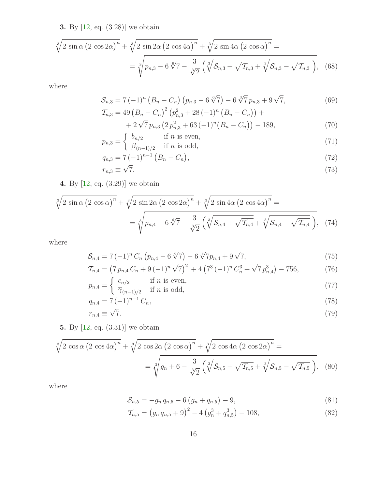3. By [\[12,](#page-22-3) eq. (3.28)] we obtain

$$
\sqrt[3]{2 \sin \alpha \left( 2 \cos 2\alpha \right)^n} + \sqrt[3]{2 \sin 2\alpha \left( 2 \cos 4\alpha \right)^n} + \sqrt[3]{2 \sin 4\alpha \left( 2 \cos \alpha \right)^n} =
$$
\n
$$
= \sqrt[3]{p_{n,3} - 6\sqrt[6]{7} - \frac{3}{\sqrt[3]{2}} \left( \sqrt[3]{S_{n,3} + \sqrt{T_{n,3}} + \sqrt[3]{S_{n,3} - \sqrt{T_{n,3}}} \right)}, \quad (68)
$$

where

$$
S_{n,3} = 7(-1)^n \left( B_n - C_n \right) \left( p_{n,3} - 6 \sqrt[6]{7} \right) - 6 \sqrt[3]{7} \, p_{n,3} + 9 \sqrt{7},\tag{69}
$$

$$
\mathcal{T}_{n,3} = 49 \left( B_n - C_n \right)^2 \left( p_{n,3}^2 + 28 \left( -1 \right)^n \left( B_n - C_n \right) \right) + 42 \sqrt{7} p_{n,3} \left( 2 p_{n,3}^2 + 63 \left( -1 \right)^n \left( B_n - C_n \right) \right) - 189, \tag{70}
$$

$$
p_{n,3} = \begin{cases} b_{n/2} & \text{if } n \text{ is even,} \\ \overline{\beta}_{(n-1)/2} & \text{if } n \text{ is odd,} \end{cases}
$$
 (71)

$$
q_{n,3} = 7(-1)^{n-1} (B_n - C_n), \tag{72}
$$

$$
r_{n,3} \equiv \sqrt{7}.\tag{73}
$$

4. By [\[12,](#page-22-3) eq. (3.29)] we obtain

$$
\sqrt[3]{2 \sin \alpha \left(2 \cos \alpha\right)^n} + \sqrt[3]{2 \sin 2\alpha \left(2 \cos 2\alpha\right)^n} + \sqrt[3]{2 \sin 4\alpha \left(2 \cos 4\alpha\right)^n} =
$$
\n
$$
= \sqrt[3]{p_{n,4} - 6\sqrt[6]{7} - \frac{3}{\sqrt[3]{2}} \left(\sqrt[3]{\mathcal{S}_{n,4} + \sqrt{\mathcal{T}_{n,4}}} + \sqrt[3]{\mathcal{S}_{n,4} - \sqrt{\mathcal{T}_{n,4}}}\right)},\tag{74}
$$

where

$$
S_{n,4} = 7(-1)^n C_n \left( p_{n,4} - 6 \sqrt[6]{7} \right) - 6 \sqrt[3]{7} p_{n,4} + 9 \sqrt{7}, \tag{75}
$$

$$
\mathcal{T}_{n,4} = \left(7 \, p_{n,4} \, C_n + 9 \, (-1)^n \sqrt{7}\right)^2 + 4 \left(7^3 \, (-1)^n \, C_n^3 + \sqrt{7} \, p_{n,4}^3\right) - 756,\tag{76}
$$
\n
$$
\left(\begin{array}{cc} c_{n/2} & \text{if } n \text{ is even.} \end{array}\right)
$$

$$
p_{n,4} = \begin{cases} c_{n/2} & \text{if } n \text{ is even,} \\ \overline{\gamma}_{(n-1)/2} & \text{if } n \text{ is odd,} \end{cases}
$$
 (77)

$$
q_{n,4} = 7(-1)^{n-1} C_n,
$$
\n(78)

$$
r_{n,4} \equiv \sqrt{7}.\tag{79}
$$

5. By [\[12,](#page-22-3) eq. (3.31)] we obtain

$$
\sqrt[3]{2 \cos \alpha (2 \cos 4\alpha)^n} + \sqrt[3]{2 \cos 2\alpha (2 \cos \alpha)^n} + \sqrt[3]{2 \cos 4\alpha (2 \cos 2\alpha)^n} =
$$
  
= 
$$
\sqrt[3]{g_n + 6 - \frac{3}{\sqrt[3]{2}} (\sqrt[3]{S_{n,5} + \sqrt{T_{n,5}}} + \sqrt[3]{S_{n,5} - \sqrt{T_{n,5}}}),
$$
 (80)

where

$$
S_{n,5} = -g_n q_{n,5} - 6(g_n + q_{n,5}) - 9,
$$
\n(81)

$$
\mathcal{T}_{n,5} = (g_n q_{n,5} + 9)^2 - 4(g_n^3 + q_{n,5}^3) - 108,
$$
\n(82)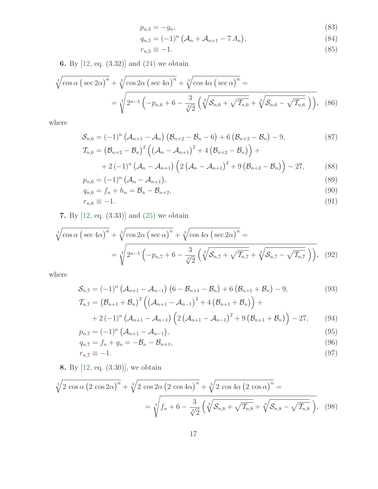$$
p_{n,5} = -g_n,\tag{83}
$$

$$
q_{n,5} = (-1)^n \left( \mathcal{A}_n + \mathcal{A}_{n+1} - 7 \, A_n \right), \tag{84}
$$

$$
r_{n,5} \equiv -1.\tag{85}
$$

6. By [\[12,](#page-22-3) eq. (3.32)] and [\(24\)](#page-9-3) we obtain

$$
\sqrt[3]{\cos\alpha \left(\sec 2\alpha\right)^n} + \sqrt[3]{\cos 2\alpha \left(\sec 4\alpha\right)^n} + \sqrt[3]{\cos 4\alpha \left(\sec \alpha\right)^n} =
$$
\n
$$
= \sqrt[3]{2^{n-1} \left(-p_{n,6} + 6 - \frac{3}{\sqrt[3]{2}} \left(\sqrt[3]{\mathcal{S}_{n,6} + \sqrt{\mathcal{T}_{n,6}}} + \sqrt[3]{\mathcal{S}_{n,6} - \sqrt{\mathcal{T}_{n,6}}}\right)\right)},
$$
\n(86)

where

$$
S_{n,6} = (-1)^n (\mathcal{A}_{n+1} - \mathcal{A}_n) (\mathcal{B}_{n+2} - \mathcal{B}_n - 6) + 6 (\mathcal{B}_{n+2} - \mathcal{B}_n) - 9,
$$
  
\n
$$
\mathcal{T}_{n,6} = (\mathcal{B}_{n+2} - \mathcal{B}_n)^2 ((\mathcal{A}_n - \mathcal{A}_{n+1})^2 + 4 (\mathcal{B}_{n+2} - \mathcal{B}_n)) +
$$
\n(87)

+2(-1)<sup>n</sup> 
$$
(A_n - A_{n+1})
$$
  $\left(2 (\mathcal{A}_n - \mathcal{A}_{n+1})^2 + 9 (\mathcal{B}_{n+2} - \mathcal{B}_n)\right) - 27,$  (88)

$$
p_{n,6} = (-1)^n \left( \mathcal{A}_n - \mathcal{A}_{n+1} \right),\tag{89}
$$

$$
q_{n,6} = f_n + h_n = \mathcal{B}_n - \mathcal{B}_{n+2},\tag{90}
$$

$$
r_{n,6} \equiv -1.\tag{91}
$$

7. By [\[12,](#page-22-3) eq. (3.33)] and [\(25\)](#page-9-4) we obtain

$$
\sqrt[3]{\cos\alpha \left(\sec 4\alpha\right)^n} + \sqrt[3]{\cos 2\alpha \left(\sec \alpha\right)^n} + \sqrt[3]{\cos 4\alpha \left(\sec 2\alpha\right)^n} =
$$
\n
$$
= \sqrt[3]{2^{n-1} \left(-p_{n,7} + 6 - \frac{3}{\sqrt[3]{2}} \left(\sqrt[3]{\mathcal{S}_{n,7} + \sqrt{\mathcal{I}_{n,7}}} + \sqrt[3]{\mathcal{S}_{n,7} - \sqrt{\mathcal{I}_{n,7}}} \right)\right)}, \quad (92)
$$

where

$$
S_{n,7} = (-1)^n \left( A_{n+1} - A_{n-1} \right) \left( 6 - \mathcal{B}_{n+1} - \mathcal{B}_n \right) + 6 \left( \mathcal{B}_{n+1} + \mathcal{B}_n \right) - 9, \tag{93}
$$
  

$$
T_{n,7} = \left( \mathcal{B}_{n+1} + \mathcal{B}_n \right)^2 \left( \left( \mathcal{A}_{n+1} - \mathcal{A}_{n-1} \right)^2 + 4 \left( \mathcal{B}_{n+1} + \mathcal{B}_n \right) \right) +
$$

$$
+2(-1)^{n} \left(\mathcal{A}_{n+1}-\mathcal{A}_{n-1}\right) \left(2\left(\mathcal{A}_{n+1}-\mathcal{A}_{n-1}\right)^{2}+9\left(\mathcal{B}_{n+1}+\mathcal{B}_{n}\right)\right)-27, \tag{94}
$$

$$
p_{n,7} = (-1)^n \left( \mathcal{A}_{n+1} - \mathcal{A}_{n-1} \right), \tag{95}
$$

$$
q_{n,7} = f_n + g_n = -\mathcal{B}_n - \mathcal{B}_{n+1},\tag{96}
$$

<span id="page-16-0"></span>
$$
r_{n,7} \equiv -1.\tag{97}
$$

8. By [\[12,](#page-22-3) eq. (3.30)], we obtain

$$
\sqrt[3]{2 \cos \alpha (2 \cos 2\alpha)^n} + \sqrt[3]{2 \cos 2\alpha (2 \cos 4\alpha)^n} + \sqrt[3]{2 \cos 4\alpha (2 \cos \alpha)^n} =
$$

$$
= \sqrt[3]{f_n + 6 - \frac{3}{\sqrt[3]{2}} (\sqrt[3]{S_{n,8} + \sqrt{T_{n,8}} + \sqrt[3]{S_{n,8} - \sqrt{T_{n,8}}}})},
$$
(98)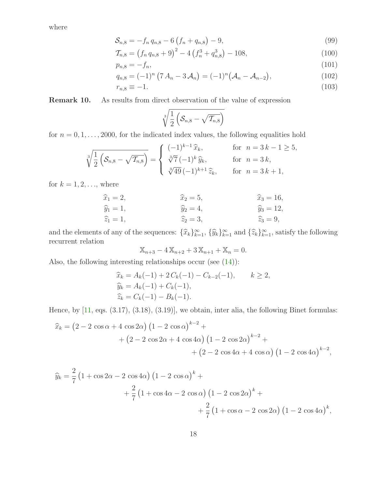where

$$
S_{n,8} = -f_n q_{n,8} - 6(f_n + q_{n,8}) - 9,
$$
\n(99)

$$
\mathcal{T}_{n,8} = \left(f_n q_{n,8} + 9\right)^2 - 4\left(f_n^3 + q_{n,8}^3\right) - 108,\tag{100}
$$

$$
p_{n,8} = -f_n,\tag{101}
$$

$$
q_{n,8} = (-1)^n (7 A_n - 3 \mathcal{A}_n) = (-1)^n (\mathcal{A}_n - \mathcal{A}_{n-2}), \qquad (102)
$$

$$
r_{n,8} \equiv -1.\tag{103}
$$

<span id="page-17-0"></span>Remark 10. As results from direct observation of the value of expression

<span id="page-17-2"></span><span id="page-17-1"></span>
$$
\sqrt[3]{\frac{1}{2}\left(\mathcal{S}_{n,8}-\sqrt{\mathcal{T}_{n,8}}\right)}
$$

for  $n = 0, 1, \ldots, 2000$ , for the indicated index values, the following equalities hold

$$
\sqrt[3]{\frac{1}{2}\left(\mathcal{S}_{n,8} - \sqrt{\mathcal{T}_{n,8}}\right)} = \begin{cases}\n(-1)^{k-1}\hat{x}_k, & \text{for } n = 3k - 1 \ge 5, \\
\sqrt[3]{7}(-1)^k \hat{y}_k, & \text{for } n = 3k, \\
\sqrt[3]{49}(-1)^{k+1} \hat{z}_k, & \text{for } n = 3k + 1,\n\end{cases}
$$

for  $k = 1, 2, \ldots$ , where

$$
\widehat{x}_1 = 2,
$$
  $\widehat{x}_2 = 5,$   $\widehat{x}_3 = 16,$   
\n $\widehat{y}_1 = 1,$   $\widehat{y}_2 = 4,$   $\widehat{y}_3 = 12,$   
\n $\widehat{z}_1 = 1,$   $\widehat{z}_2 = 3,$   $\widehat{z}_3 = 9,$ 

and the elements of any of the sequences:  $\{\widehat{x}_k\}_{k=1}^{\infty}$ ,  $\{\widehat{y}_k\}_{k=1}^{\infty}$  and  $\{\widehat{z}_k\}_{k=1}^{\infty}$ , satisfy the following recurrent relation

$$
\mathbb{X}_{n+3} - 4\,\mathbb{X}_{n+2} + 3\,\mathbb{X}_{n+1} + \mathbb{X}_n = 0.
$$

Also, the following interesting relationships occur (see [\(14\)](#page-7-2)):

$$
\begin{aligned} \widehat{x}_k &= A_k(-1) + 2C_k(-1) - C_{k-2}(-1), & k \ge 2, \\ \widehat{y}_k &= A_k(-1) + C_k(-1), \\ \widehat{z}_k &= C_k(-1) - B_k(-1). \end{aligned}
$$

Hence, by [\[11,](#page-22-2) eqs. (3.17), (3.18), (3.19)], we obtain, inter alia, the following Binet formulas:

$$
\hat{x}_k = (2 - 2 \cos \alpha + 4 \cos 2\alpha) (1 - 2 \cos \alpha)^{k-2} ++ (2 - 2 \cos 2\alpha + 4 \cos 4\alpha) (1 - 2 \cos 2\alpha)^{k-2} ++ (2 - 2 \cos 4\alpha + 4 \cos \alpha) (1 - 2 \cos 4\alpha)^{k-2},
$$

$$
\hat{y}_k = \frac{2}{7} (1 + \cos 2\alpha - 2 \cos 4\alpha) (1 - 2 \cos \alpha)^k + \n+ \frac{2}{7} (1 + \cos 4\alpha - 2 \cos \alpha) (1 - 2 \cos 2\alpha)^k + \n+ \frac{2}{7} (1 + \cos \alpha - 2 \cos 2\alpha) (1 - 2 \cos 4\alpha)^k,
$$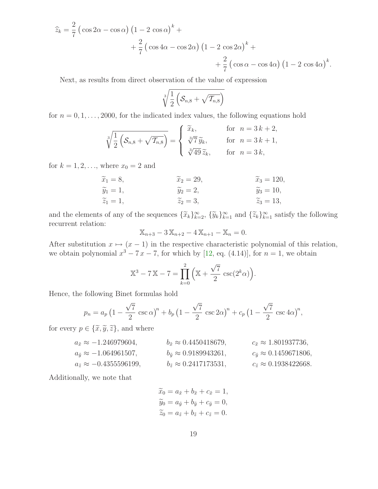$$
\hat{z}_k = \frac{2}{7} \left( \cos 2\alpha - \cos \alpha \right) \left( 1 - 2 \cos \alpha \right)^k +
$$
  
+ 
$$
\frac{2}{7} \left( \cos 4\alpha - \cos 2\alpha \right) \left( 1 - 2 \cos 2\alpha \right)^k +
$$
  
+ 
$$
\frac{2}{7} \left( \cos \alpha - \cos 4\alpha \right) \left( 1 - 2 \cos 4\alpha \right)^k.
$$

Next, as results from direct observation of the value of expression

$$
\sqrt[3]{\frac{1}{2}\left(\mathcal{S}_{n,8}+\sqrt{\mathcal{T}_{n,8}}\right)}
$$

for  $n = 0, 1, \ldots, 2000$ , for the indicated index values, the following equations hold

$$
\sqrt[3]{\frac{1}{2}\left(\mathcal{S}_{n,8} + \sqrt{\mathcal{T}_{n,8}}\right)} = \begin{cases} \tilde{x}_k, & \text{for } n = 3k+2, \\ \sqrt[3]{7}\tilde{y}_k, & \text{for } n = 3k+1, \\ \sqrt[3]{49}\tilde{z}_k, & \text{for } n = 3k, \end{cases}
$$

for  $k = 1, 2, ...,$  where  $x_0 = 2$  and

$$
\widetilde{x}_1 = 8,
$$
  
\n $\widetilde{y}_1 = 1,$   
\n $\widetilde{y}_2 = 2,$   
\n $\widetilde{y}_3 = 120,$   
\n $\widetilde{y}_3 = 120,$   
\n $\widetilde{y}_3 = 10,$   
\n $\widetilde{z}_1 = 1,$   
\n $\widetilde{z}_2 = 3,$   
\n $\widetilde{z}_3 = 13,$ 

and the elements of any of the sequences  $\{\widetilde{x}_k\}_{k=2}^{\infty}$ ,  $\{\widetilde{y}_k\}_{k=1}^{\infty}$  and  $\{\widetilde{z}_k\}_{k=1}^{\infty}$  satisfy the following recurrent relation:

$$
\mathbb{X}_{n+3} - 3\,\mathbb{X}_{n+2} - 4\,\mathbb{X}_{n+1} - \mathbb{X}_n = 0.
$$

After substitution  $x \mapsto (x - 1)$  in the respective characteristic polynomial of this relation, we obtain polynomial  $x^3 - 7x - 7$ , for which by [\[12,](#page-22-3) eq. (4.14)], for  $n = 1$ , we obtain

$$
\mathbb{X}^3 - 7\mathbb{X} - 7 = \prod_{k=0}^2 \left( \mathbb{X} + \frac{\sqrt{7}}{2} \csc(2^k \alpha) \right).
$$

Hence, the following Binet formulas hold

$$
p_n = a_p \left(1 - \frac{\sqrt{7}}{2} \csc \alpha\right)^n + b_p \left(1 - \frac{\sqrt{7}}{2} \csc 2\alpha\right)^n + c_p \left(1 - \frac{\sqrt{7}}{2} \csc 4\alpha\right)^n,
$$

for every  $p \in {\{\widetilde{\mathcal{X}}, \widetilde{\mathcal{Y}}, \widetilde{\mathcal{Z}}\}}$ , and where

$$
a_{\tilde{x}} \approx -1.246979604, \t b_{\tilde{x}} \approx 0.4450418679, \t c_{\tilde{x}} \approx 1.801937736, \n a_{\tilde{y}} \approx -1.064961507, \t b_{\tilde{y}} \approx 0.9189943261, \t c_{\tilde{y}} \approx 0.1459671806, \n a_{\tilde{z}} \approx -0.4355596199, \t b_{\tilde{z}} \approx 0.2417173531, \t c_{\tilde{z}} \approx 0.1938422668.
$$

Additionally, we note that

$$
\widetilde{x}_0 = a_{\tilde{x}} + b_{\tilde{x}} + c_{\tilde{x}} = 1,\n\widetilde{y}_0 = a_{\tilde{y}} + b_{\tilde{y}} + c_{\tilde{y}} = 0,\n\widetilde{z}_0 = a_{\tilde{z}} + b_{\tilde{z}} + c_{\tilde{z}} = 0.
$$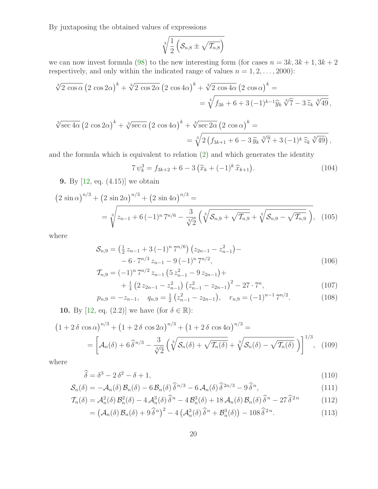By juxtaposing the obtained values of expressions

$$
\sqrt[3]{\frac{1}{2}\left(\mathcal{S}_{n,8}\pm\sqrt{\mathcal{T}_{n,8}}\right)}
$$

we can now invest formula [\(98\)](#page-16-0) to the new interesting form (for cases  $n = 3k, 3k + 1, 3k + 2$ respectively, and only within the indicated range of values  $n = 1, 2, \ldots, 2000$ :

$$
\sqrt[3]{2 \cos \alpha} \left( 2 \cos 2\alpha \right)^k + \sqrt[3]{2 \cos 2\alpha} \left( 2 \cos 4\alpha \right)^k + \sqrt[3]{2 \cos 4\alpha} \left( 2 \cos \alpha \right)^k =
$$
  
= 
$$
\sqrt[3]{f_{3k} + 6 + 3(-1)^{k-1} \hat{y}_k} \sqrt[3]{7} - 3 \tilde{z}_k \sqrt[3]{49},
$$

$$
\sqrt[3]{\sec 4\alpha} \left(2 \cos 2\alpha\right)^k + \sqrt[3]{\sec \alpha} \left(2 \cos 4\alpha\right)^k + \sqrt[3]{\sec 2\alpha} \left(2 \cos \alpha\right)^k =
$$
  
= 
$$
\sqrt[3]{2 \left(f_{3k+1} + 6 - 3 \tilde{y}_k \sqrt[3]{7} + 3 \left(-1\right)^k \hat{z}_k \sqrt[3]{49}}\right)},
$$

and the formula which is equivalent to relation [\(2\)](#page-1-0) and which generates the identity

$$
7\,\psi_k^3 = f_{3k+2} + 6 - 3\left(\tilde{x}_k + (-1)^k\,\hat{x}_{k+1}\right). \tag{104}
$$

9. By [\[12,](#page-22-3) eq. (4.15)] we obtain

$$
(2 \sin \alpha)^{n/3} + (2 \sin 2\alpha)^{n/3} + (2 \sin 4\alpha)^{n/3} =
$$
  
=  $\sqrt[3]{z_{n-1} + 6(-1)^n 7^{n/6} - \frac{3}{\sqrt[3]{2}} \left( \sqrt[3]{\mathcal{S}_{n,9} + \sqrt{\mathcal{I}_{n,9}}} + \sqrt[3]{\mathcal{S}_{n,9} - \sqrt{\mathcal{I}_{n,9}}} \right)}$ , (105)

where

$$
S_{n,9} = \left(\frac{1}{2}z_{n-1} + 3(-1)^n 7^{n/6}\right)\left(z_{2n-1} - z_{n-1}^2\right) -
$$
  
- 6 \cdot 7^{n/3} z\_{n-1} - 9(-1)^n 7^{n/2}, (106)

$$
\mathcal{T}_{n,9} = (-1)^n 7^{n/2} z_{n-1} \left( 5 z_{n-1}^2 - 9 z_{2n-1} \right) +
$$
  
+  $\frac{1}{2} \left( 2 z_{2n-1} - z_{n-1}^2 \right) \left( z_{n-1}^2 - z_{2n-1} \right)^2 - 27 \cdot 7^n$ . (107)

$$
+\frac{1}{4}\left(2\,z_{2n-1}-z_{n-1}^2\right)\left(z_{n-1}^2-z_{2n-1}\right)^2-27\cdot 7^n,\tag{107}
$$
\n
$$
z_0 = -z_{n-1}, \quad q_{n,0} = \frac{1}{2}\left(z_{n-1}^2-z_{2n-1}\right), \quad r_{n,0} = (-1)^{n-1}7^{n/2}.\tag{108}
$$

$$
p_{n,9} = -z_{n-1}, \quad q_{n,9} = \frac{1}{2} \left( z_{n-1}^2 - z_{2n-1} \right), \quad r_{n,9} = (-1)^{n-1} \, 7^{n/2}.
$$
 (108)

**10.** By [\[12,](#page-22-3) eq. (2.2)] we have (for  $\delta \in \mathbb{R}$ ):

$$
(1+2\delta\cos\alpha)^{n/3} + (1+2\delta\cos 2\alpha)^{n/3} + (1+2\delta\cos 4\alpha)^{n/3} =
$$
  
= 
$$
\left[\mathcal{A}_n(\delta) + 6\widehat{\delta}^{n/3} - \frac{3}{\sqrt[3]{2}}\left(\sqrt[3]{\mathcal{S}_n(\delta) + \sqrt{\mathcal{I}_n(\delta)}} + \sqrt[3]{\mathcal{S}_n(\delta) - \sqrt{\mathcal{I}_n(\delta)}}\right)\right]^{1/3},
$$
 (109)

where

$$
\widehat{\delta} = \delta^3 - 2\,\delta^2 - \delta + 1,\tag{110}
$$

$$
S_n(\delta) = -\mathcal{A}_n(\delta) \mathcal{B}_n(\delta) - 6 \mathcal{B}_n(\delta) \widehat{\delta}^{n/3} - 6 \mathcal{A}_n(\delta) \widehat{\delta}^{2n/3} - 9 \widehat{\delta}^n, \tag{111}
$$

$$
\mathcal{T}_n(\delta) = \mathcal{A}_n^2(\delta) \mathcal{B}_n^2(\delta) - 4 \mathcal{A}_n^3(\delta) \widehat{\delta}^n - 4 \mathcal{B}_n^3(\delta) + 18 \mathcal{A}_n(\delta) \mathcal{B}_n(\delta) \widehat{\delta}^n - 27 \widehat{\delta}^{2n} \tag{112}
$$

$$
= \left(\mathcal{A}_n(\delta)\,\mathcal{B}_n(\delta) + 9\,\widehat{\delta}^{\,n}\right)^2 - 4\left(\mathcal{A}_n^3(\delta)\,\widehat{\delta}^{\,n} + \mathcal{B}_n^3(\delta)\right) - 108\,\widehat{\delta}^{\,2\,n}.\tag{113}
$$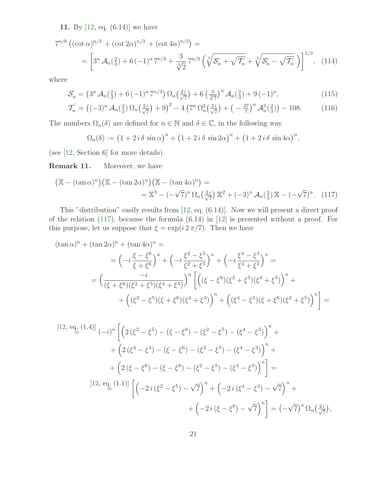11. By [\[12,](#page-22-3) eq. (6.14)] we have

$$
7^{n/6} \left( (\cot \alpha)^{n/3} + (\cot 2\alpha)^{n/3} + (\cot 4\alpha)^{n/3} \right) =
$$
  
= 
$$
\left[ 3^n \mathcal{A}_n(\frac{2}{3}) + 6 \left( -1 \right)^n 7^{n/3} + \frac{3}{\sqrt[3]{2}} 7^{n/3} \left( \sqrt[3]{\mathcal{S}'_n + \sqrt{\mathcal{I}'_n}} + \sqrt[3]{\mathcal{S}'_n - \sqrt{\mathcal{I}'_n}} \right) \right]^{1/3}, \quad (114)
$$

where

$$
\mathcal{S}'_n = \left(3^n \mathcal{A}_n(\frac{2}{3}) + 6(-1)^n 7^{n/3}\right) \Omega_n(\frac{2i}{\sqrt{7}}) + 6\left(\frac{3}{\sqrt[3]{7}}\right)^n \mathcal{A}_n(\frac{2}{3}) + 9(-1)^n,\tag{115}
$$

$$
\mathcal{T}'_n = \left( (-3)^n \mathcal{A}_n \left( \frac{2}{3} \right) \Omega_n \left( \frac{2i}{\sqrt{7}} \right) + 9 \right)^2 - 4 \left( 7^n \Omega_n^3 \left( \frac{2i}{\sqrt{7}} \right) + \left( -\frac{27}{7} \right)^n \mathcal{A}_n^3 \left( \frac{2}{3} \right) \right) - 108. \tag{116}
$$

The numbers  $\Omega_n(\delta)$  are defined for  $n \in \mathbb{N}$  and  $\delta \in \mathbb{C}$ , in the following way

<span id="page-20-0"></span>
$$
\Omega_n(\delta) := \left(1 + 2\,i\,\delta\,\sin\alpha\right)^n + \left(1 + 2\,i\,\delta\,\sin 2\alpha\right)^n + \left(1 + 2\,i\,\delta\,\sin 4\alpha\right)^n,
$$

(see [\[12,](#page-22-3) Section 6] for more details).

**Remark 11.** Moreover, we have

$$
\left(\mathbb{X} - (\tan \alpha)^n\right) \left(\mathbb{X} - (\tan 2\alpha)^n\right) \left(\mathbb{X} - (\tan 4\alpha)^n\right) =
$$
  
= 
$$
\mathbb{X}^3 - (-\sqrt{7})^n \Omega_n \left(\frac{2i}{\sqrt{7}}\right) \mathbb{X}^2 + (-3)^n \mathcal{A}_n \left(\frac{2}{3}\right) \mathbb{X} - (-\sqrt{7})^n.
$$
 (117)

This "distribution" easily results from [\[12,](#page-22-3) eq. (6.14)]. Now we will present a direct proof of the relation [\(117\)](#page-20-0), because the formula (6.14) in [\[12\]](#page-22-3) is presented without a proof. For this purpose, let us suppose that  $\xi = \exp(i 2 \pi / 7)$ . Then we have

$$
(\tan \alpha)^n + (\tan 2\alpha)^n + (\tan 4\alpha)^n =
$$
  
=  $\left(-i\frac{\xi - \xi^6}{\xi + \xi^6}\right)^n + \left(-i\frac{\xi^2 - \xi^5}{\xi^2 + \xi^5}\right)^n + \left(-i\frac{\xi^4 - \xi^3}{\xi^4 + \xi^3}\right)^n =$   
=  $\left(\frac{-i}{(\xi + \xi^6)(\xi^2 + \xi^5)(\xi^4 + \xi^3)}\right)^n \left[\left((\xi - \xi^6)(\xi^2 + \xi^5)(\xi^4 + \xi^3)\right)^n + \left((\xi^2 - \xi^5)(\xi + \xi^6)(\xi^4 + \xi^3)\right)^n + \left((\xi^4 - \xi^3)(\xi + \xi^6)(\xi^2 + \xi^5)\right)^n\right] =$ 

$$
[12, e_{\frac{d}{2}}(1.4)] (-i)^n \left[ \left( 2(\xi^2 - \xi^5) - (\xi - \xi^6) - (\xi^2 - \xi^5) - (\xi^4 - \xi^3) \right)^n + \right. \\
 \left. + \left( 2(\xi^4 - \xi^3) - (\xi - \xi^6) - (\xi^2 - \xi^5) - (\xi^4 - \xi^3) \right)^n + \right. \\
 \left. + \left( 2(\xi - \xi^6) - (\xi - \xi^6) - (\xi^2 - \xi^5) - (\xi^4 - \xi^3) \right)^n \right] = \left[ 12, e_{\frac{d}{2}}(1.1) \right] \left[ \left( -2i(\xi^2 - \xi^5) - \sqrt{7} \right)^n + \left( -2i(\xi^4 - \xi^3) - \sqrt{7} \right)^n + \right. \\
 \left. + \left( -2i(\xi - \xi^6) - \sqrt{7} \right)^n \right] = \left( -\sqrt{7} \right)^n \Omega_n \left( \frac{2i}{\sqrt{7}} \right),
$$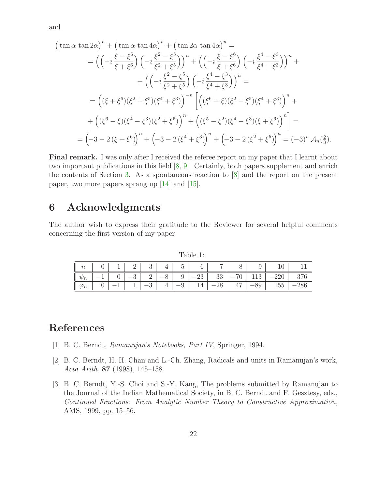and

 $(\tan \alpha \tan 2\alpha)^n + (\tan \alpha \tan 4\alpha)^n + (\tan 2\alpha \tan 4\alpha)^n =$ 

$$
= \left( \left( -i \frac{\xi - \xi^{6}}{\xi + \xi^{6}} \right) \left( -i \frac{\xi^{2} - \xi^{5}}{\xi^{2} + \xi^{5}} \right) \right)^{n} + \left( \left( -i \frac{\xi - \xi^{6}}{\xi + \xi^{6}} \right) \left( -i \frac{\xi^{4} - \xi^{3}}{\xi^{4} + \xi^{3}} \right) \right)^{n} + + \left( \left( -i \frac{\xi^{2} - \xi^{5}}{\xi^{2} + \xi^{5}} \right) \left( -i \frac{\xi^{4} - \xi^{3}}{\xi^{4} + \xi^{3}} \right) \right)^{n} = = \left( (\xi + \xi^{6})(\xi^{2} + \xi^{5})(\xi^{4} + \xi^{3}) \right)^{-n} \left[ \left( (\xi^{6} - \xi)(\xi^{2} - \xi^{5})(\xi^{4} + \xi^{3}) \right)^{n} + + \left( (\xi^{6} - \xi)(\xi^{4} - \xi^{3})(\xi^{2} + \xi^{5}) \right)^{n} + \left( (\xi^{5} - \xi^{2})(\xi^{4} - \xi^{3})(\xi + \xi^{6}) \right)^{n} \right] = = \left( -3 - 2(\xi + \xi^{6}) \right)^{n} + \left( -3 - 2(\xi^{4} + \xi^{3}) \right)^{n} + \left( -3 - 2(\xi^{2} + \xi^{5}) \right)^{n} = (-3)^{n} \mathcal{A}_{n}(\frac{2}{3}).
$$

Final remark. I was only after I received the referee report on my paper that I learnt about two important publications in this field [\[8,](#page-22-8) [9\]](#page-22-9). Certainly, both papers supplement and enrich the contents of Section [3.](#page-5-0) As a spontaneous reaction to [\[8\]](#page-22-8) and the report on the present paper, two more papers sprang up [\[14\]](#page-22-10) and [\[15\]](#page-22-11).

## 6 Acknowledgments

The author wish to express their gratitude to the Reviewer for several helpful comments concerning the first version of my paper.

<span id="page-21-3"></span>Table 1:

| $\sim$           |   | - |    | $\tilde{\phantom{a}}$ | $\sim$ | −     |       |            | ⊥∪. |  |
|------------------|---|---|----|-----------------------|--------|-------|-------|------------|-----|--|
| $\sim$<br>76     | ◡ | ച | -  | ັ                     | $-23$  | 33    | $-70$ | 1 ດ<br>119 | ∠∠∪ |  |
| $\boldsymbol{n}$ |   |   | __ |                       |        | $-28$ | 47    | $-89$      | t55 |  |

## <span id="page-21-0"></span>References

- <span id="page-21-1"></span>[1] B. C. Berndt, Ramanujan's Notebooks, Part IV, Springer, 1994.
- <span id="page-21-2"></span>[2] B. C. Berndt, H. H. Chan and L.-Ch. Zhang, Radicals and units in Ramanujan's work, Acta Arith. 87 (1998), 145–158.
- [3] B. C. Berndt, Y.-S. Choi and S.-Y. Kang, The problems submitted by Ramanujan to the Journal of the Indian Mathematical Society, in B. C. Berndt and F. Gesztesy, eds., Continued Fractions: From Analytic Number Theory to Constructive Approximation, AMS, 1999, pp. 15–56.